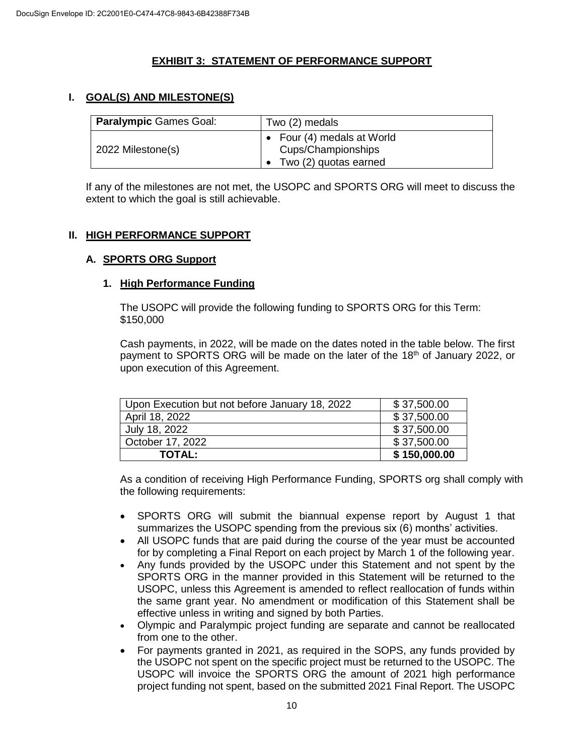## **EXHIBIT 3: STATEMENT OF PERFORMANCE SUPPORT**

## **I. GOAL(S) AND MILESTONE(S)**

| Paralympic Games Goal: | Two (2) medals                                                              |  |
|------------------------|-----------------------------------------------------------------------------|--|
| 2022 Milestone(s)      | • Four $(4)$ medals at World<br>Cups/Championships<br>Two (2) quotas earned |  |

If any of the milestones are not met, the USOPC and SPORTS ORG will meet to discuss the extent to which the goal is still achievable.

### **II. HIGH PERFORMANCE SUPPORT**

#### **A. SPORTS ORG Support**

#### **1. High Performance Funding**

The USOPC will provide the following funding to SPORTS ORG for this Term: \$150,000

Cash payments, in 2022, will be made on the dates noted in the table below. The first payment to SPORTS ORG will be made on the later of the 18<sup>th</sup> of January 2022, or upon execution of this Agreement.

| Upon Execution but not before January 18, 2022 | \$37,500.00  |
|------------------------------------------------|--------------|
| April 18, 2022                                 | \$37,500.00  |
| July 18, 2022                                  | \$37,500.00  |
| October 17, 2022                               | \$37,500.00  |
| <b>TOTAL:</b>                                  | \$150,000.00 |

As a condition of receiving High Performance Funding, SPORTS org shall comply with the following requirements:

- SPORTS ORG will submit the biannual expense report by August 1 that summarizes the USOPC spending from the previous six (6) months' activities.
- All USOPC funds that are paid during the course of the year must be accounted for by completing a Final Report on each project by March 1 of the following year.
- Any funds provided by the USOPC under this Statement and not spent by the SPORTS ORG in the manner provided in this Statement will be returned to the USOPC, unless this Agreement is amended to reflect reallocation of funds within the same grant year. No amendment or modification of this Statement shall be effective unless in writing and signed by both Parties.
- Olympic and Paralympic project funding are separate and cannot be reallocated from one to the other.
- For payments granted in 2021, as required in the SOPS, any funds provided by the USOPC not spent on the specific project must be returned to the USOPC. The USOPC will invoice the SPORTS ORG the amount of 2021 high performance project funding not spent, based on the submitted 2021 Final Report. The USOPC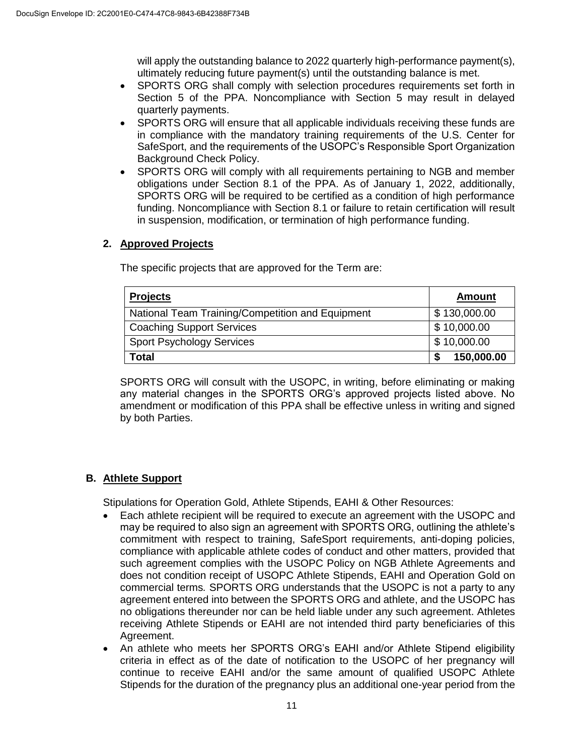will apply the outstanding balance to 2022 quarterly high-performance payment(s), ultimately reducing future payment(s) until the outstanding balance is met.

- SPORTS ORG shall comply with selection procedures requirements set forth in Section 5 of the PPA. Noncompliance with Section 5 may result in delayed quarterly payments.
- SPORTS ORG will ensure that all applicable individuals receiving these funds are in compliance with the mandatory training requirements of the U.S. Center for SafeSport, and the requirements of the USOPC's Responsible Sport Organization Background Check Policy.
- SPORTS ORG will comply with all requirements pertaining to NGB and member obligations under Section 8.1 of the PPA. As of January 1, 2022, additionally, SPORTS ORG will be required to be certified as a condition of high performance funding. Noncompliance with Section 8.1 or failure to retain certification will result in suspension, modification, or termination of high performance funding.

# **2. Approved Projects**

The specific projects that are approved for the Term are:

| <b>Projects</b>                                  | <b>Amount</b> |
|--------------------------------------------------|---------------|
| National Team Training/Competition and Equipment | \$130,000.00  |
| <b>Coaching Support Services</b>                 | \$10,000.00   |
| <b>Sport Psychology Services</b>                 | \$10,000.00   |
| Total                                            | 150,000.00    |

SPORTS ORG will consult with the USOPC, in writing, before eliminating or making any material changes in the SPORTS ORG's approved projects listed above. No amendment or modification of this PPA shall be effective unless in writing and signed by both Parties.

# **B. Athlete Support**

Stipulations for Operation Gold, Athlete Stipends, EAHI & Other Resources:

- Each athlete recipient will be required to execute an agreement with the USOPC and may be required to also sign an agreement with SPORTS ORG, outlining the athlete's commitment with respect to training, SafeSport requirements, anti-doping policies, compliance with applicable athlete codes of conduct and other matters, provided that such agreement complies with the USOPC Policy on NGB Athlete Agreements and does not condition receipt of USOPC Athlete Stipends, EAHI and Operation Gold on commercial terms*.* SPORTS ORG understands that the USOPC is not a party to any agreement entered into between the SPORTS ORG and athlete, and the USOPC has no obligations thereunder nor can be held liable under any such agreement. Athletes receiving Athlete Stipends or EAHI are not intended third party beneficiaries of this Agreement.
- An athlete who meets her SPORTS ORG's EAHI and/or Athlete Stipend eligibility criteria in effect as of the date of notification to the USOPC of her pregnancy will continue to receive EAHI and/or the same amount of qualified USOPC Athlete Stipends for the duration of the pregnancy plus an additional one-year period from the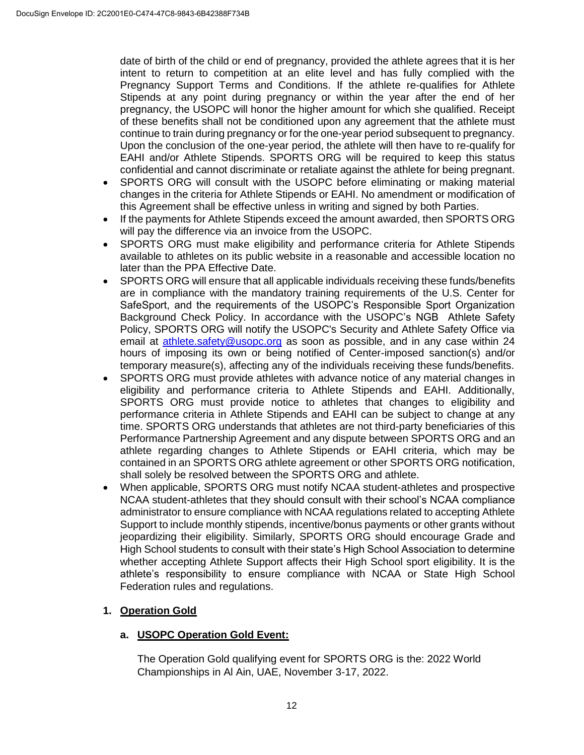date of birth of the child or end of pregnancy, provided the athlete agrees that it is her intent to return to competition at an elite level and has fully complied with the Pregnancy Support Terms and Conditions. If the athlete re-qualifies for Athlete Stipends at any point during pregnancy or within the year after the end of her pregnancy, the USOPC will honor the higher amount for which she qualified. Receipt of these benefits shall not be conditioned upon any agreement that the athlete must continue to train during pregnancy or for the one-year period subsequent to pregnancy. Upon the conclusion of the one-year period, the athlete will then have to re-qualify for EAHI and/or Athlete Stipends. SPORTS ORG will be required to keep this status confidential and cannot discriminate or retaliate against the athlete for being pregnant.

- SPORTS ORG will consult with the USOPC before eliminating or making material changes in the criteria for Athlete Stipends or EAHI. No amendment or modification of this Agreement shall be effective unless in writing and signed by both Parties.
- If the payments for Athlete Stipends exceed the amount awarded, then SPORTS ORG will pay the difference via an invoice from the USOPC.
- SPORTS ORG must make eligibility and performance criteria for Athlete Stipends available to athletes on its public website in a reasonable and accessible location no later than the PPA Effective Date.
- SPORTS ORG will ensure that all applicable individuals receiving these funds/benefits are in compliance with the mandatory training requirements of the U.S. Center for SafeSport, and the requirements of the USOPC's Responsible Sport Organization Background Check Policy. In accordance with the USOPC's NGB Athlete Safety Policy, SPORTS ORG will notify the USOPC's Security and Athlete Safety Office via email at **athlete.safety@usopc.org** as soon as possible, and in any case within 24 hours of imposing its own or being notified of Center-imposed sanction(s) and/or temporary measure(s), affecting any of the individuals receiving these funds/benefits.
- SPORTS ORG must provide athletes with advance notice of any material changes in eligibility and performance criteria to Athlete Stipends and EAHI. Additionally, SPORTS ORG must provide notice to athletes that changes to eligibility and performance criteria in Athlete Stipends and EAHI can be subject to change at any time. SPORTS ORG understands that athletes are not third-party beneficiaries of this Performance Partnership Agreement and any dispute between SPORTS ORG and an athlete regarding changes to Athlete Stipends or EAHI criteria, which may be contained in an SPORTS ORG athlete agreement or other SPORTS ORG notification, shall solely be resolved between the SPORTS ORG and athlete.
- When applicable, SPORTS ORG must notify NCAA student-athletes and prospective NCAA student-athletes that they should consult with their school's NCAA compliance administrator to ensure compliance with NCAA regulations related to accepting Athlete Support to include monthly stipends, incentive/bonus payments or other grants without jeopardizing their eligibility. Similarly, SPORTS ORG should encourage Grade and High School students to consult with their state's High School Association to determine whether accepting Athlete Support affects their High School sport eligibility. It is the athlete's responsibility to ensure compliance with NCAA or State High School Federation rules and regulations.

### **1. Operation Gold**

### **a. USOPC Operation Gold Event:**

The Operation Gold qualifying event for SPORTS ORG is the: 2022 World Championships in Al Ain, UAE, November 3-17, 2022.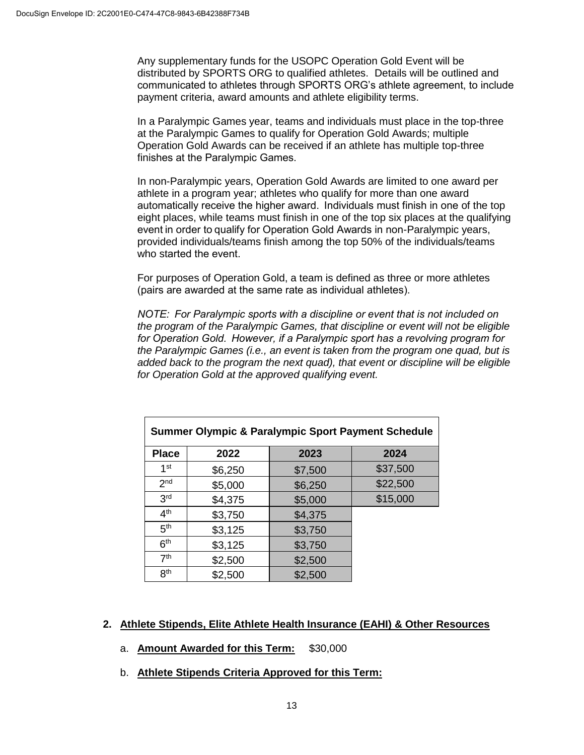Any supplementary funds for the USOPC Operation Gold Event will be distributed by SPORTS ORG to qualified athletes. Details will be outlined and communicated to athletes through SPORTS ORG's athlete agreement, to include payment criteria, award amounts and athlete eligibility terms.

In a Paralympic Games year, teams and individuals must place in the top-three at the Paralympic Games to qualify for Operation Gold Awards; multiple Operation Gold Awards can be received if an athlete has multiple top-three finishes at the Paralympic Games. 

In non-Paralympic years, Operation Gold Awards are limited to one award per athlete in a program year; athletes who qualify for more than one award automatically receive the higher award.  Individuals must finish in one of the top eight places, while teams must finish in one of the top six places at the qualifying event in order to qualify for Operation Gold Awards in non-Paralympic years, provided individuals/teams finish among the top 50% of the individuals/teams who started the event. 

For purposes of Operation Gold, a team is defined as three or more athletes (pairs are awarded at the same rate as individual athletes). 

*NOTE:  For Paralympic sports with a discipline or event that is not included on the program of the Paralympic Games, that discipline or event will not be eligible for Operation Gold.  However, if a Paralympic sport has a revolving program for the Paralympic Games (i.e., an event is taken from the program one quad, but is added back to the program the next quad), that event or discipline will be eligible for Operation Gold at the approved qualifying event.*

| <b>Summer Olympic &amp; Paralympic Sport Payment Schedule</b> |         |         |          |  |
|---------------------------------------------------------------|---------|---------|----------|--|
| <b>Place</b>                                                  | 2022    | 2023    | 2024     |  |
| 1 <sup>st</sup>                                               | \$6,250 | \$7,500 | \$37,500 |  |
| 2 <sub>nd</sub>                                               | \$5,000 | \$6,250 | \$22,500 |  |
| 3 <sup>rd</sup>                                               | \$4,375 | \$5,000 | \$15,000 |  |
| 4 <sup>th</sup>                                               | \$3,750 | \$4,375 |          |  |
| 5 <sup>th</sup>                                               | \$3,125 | \$3,750 |          |  |
| 6 <sup>th</sup>                                               | \$3,125 | \$3,750 |          |  |
| 7 <sup>th</sup>                                               | \$2,500 | \$2,500 |          |  |
| 8 <sup>th</sup>                                               | \$2,500 | \$2,500 |          |  |

### **2. Athlete Stipends, Elite Athlete Health Insurance (EAHI) & Other Resources**

- a. **Amount Awarded for this Term:** \$30,000
- b. **Athlete Stipends Criteria Approved for this Term:**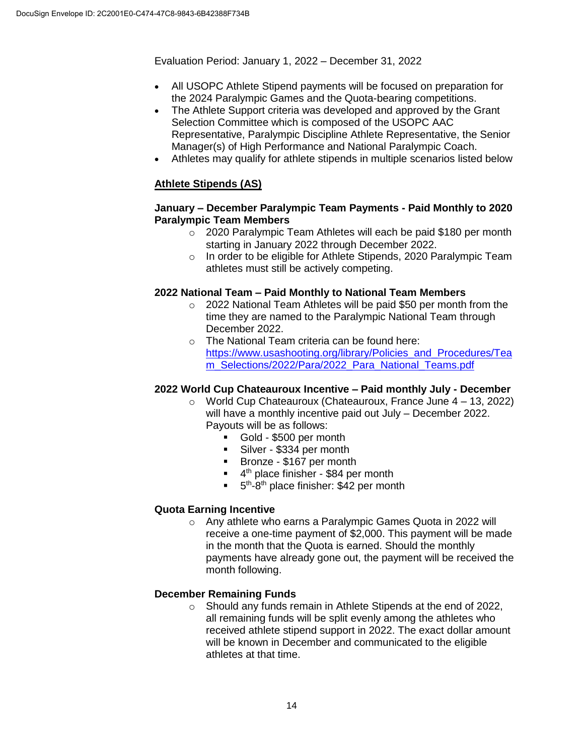Evaluation Period: January 1, 2022 – December 31, 2022

- All USOPC Athlete Stipend payments will be focused on preparation for the 2024 Paralympic Games and the Quota-bearing competitions.
- The Athlete Support criteria was developed and approved by the Grant Selection Committee which is composed of the USOPC AAC Representative, Paralympic Discipline Athlete Representative, the Senior Manager(s) of High Performance and National Paralympic Coach.
- Athletes may qualify for athlete stipends in multiple scenarios listed below

## **Athlete Stipends (AS)**

### **January – December Paralympic Team Payments - Paid Monthly to 2020 Paralympic Team Members**

- o 2020 Paralympic Team Athletes will each be paid \$180 per month starting in January 2022 through December 2022.
- o In order to be eligible for Athlete Stipends, 2020 Paralympic Team athletes must still be actively competing.

### **2022 National Team – Paid Monthly to National Team Members**

- o 2022 National Team Athletes will be paid \$50 per month from the time they are named to the Paralympic National Team through December 2022.
- o The National Team criteria can be found here: [https://www.usashooting.org/library/Policies\\_and\\_Procedures/Tea](https://www.usashooting.org/library/Policies_and_Procedures/Team_Selections/2022/Para/2022_Para_National_Teams.pdf) [m\\_Selections/2022/Para/2022\\_Para\\_National\\_Teams.pdf](https://www.usashooting.org/library/Policies_and_Procedures/Team_Selections/2022/Para/2022_Para_National_Teams.pdf)

### **2022 World Cup Chateauroux Incentive – Paid monthly July - December**

- o World Cup Chateauroux (Chateauroux, France June 4 13, 2022) will have a monthly incentive paid out July – December 2022. Payouts will be as follows:
	- Gold \$500 per month
	- Silver \$334 per month
	- Bronze \$167 per month
	- <sup>4th</sup> place finisher \$84 per month
	- $\blacksquare$  5<sup>th</sup>-8<sup>th</sup> place finisher: \$42 per month

### **Quota Earning Incentive**

o Any athlete who earns a Paralympic Games Quota in 2022 will receive a one-time payment of \$2,000. This payment will be made in the month that the Quota is earned. Should the monthly payments have already gone out, the payment will be received the month following.

### **December Remaining Funds**

 $\circ$  Should any funds remain in Athlete Stipends at the end of 2022. all remaining funds will be split evenly among the athletes who received athlete stipend support in 2022. The exact dollar amount will be known in December and communicated to the eligible athletes at that time.